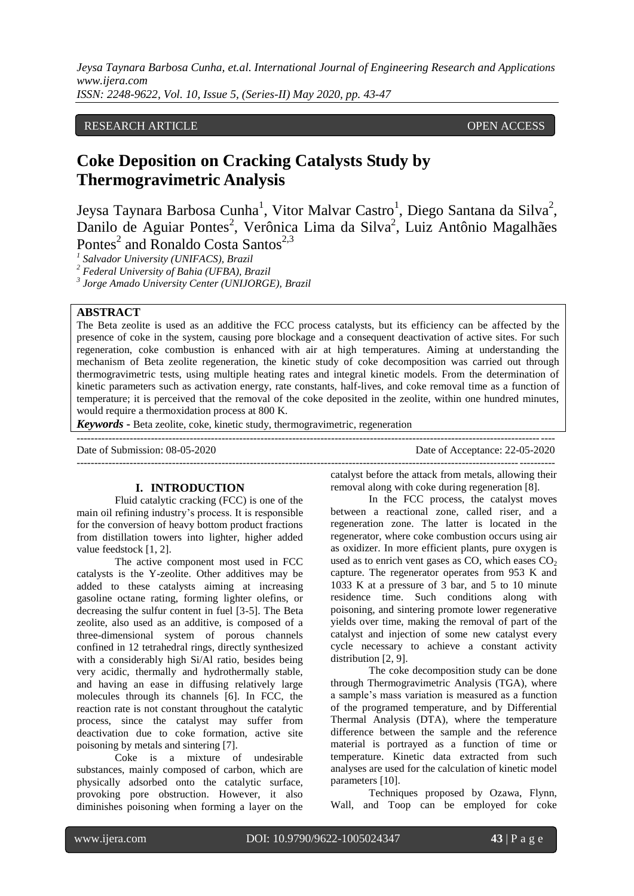*Jeysa Taynara Barbosa Cunha, et.al. International Journal of Engineering Research and Applications www.ijera.com ISSN: 2248-9622, Vol. 10, Issue 5, (Series-II) May 2020, pp. 43-47*

### RESEARCH ARTICLE **CONSERVERS** OPEN ACCESS

# **Coke Deposition on Cracking Catalysts Study by Thermogravimetric Analysis**

Jeysa Taynara Barbosa Cunha<sup>1</sup>, Vitor Malvar Castro<sup>1</sup>, Diego Santana da Silva<sup>2</sup>, Danilo de Aguiar Pontes<sup>2</sup>, Verônica Lima da Silva<sup>2</sup>, Luiz Antônio Magalhães Pontes<sup>2</sup> and Ronaldo Costa Santos<sup>2,3</sup>

*1 Salvador University (UNIFACS), Brazil*

*<sup>2</sup> Federal University of Bahia (UFBA), Brazil*

*3 Jorge Amado University Center (UNIJORGE), Brazil*

#### **ABSTRACT**

The Beta zeolite is used as an additive the FCC process catalysts, but its efficiency can be affected by the presence of coke in the system, causing pore blockage and a consequent deactivation of active sites. For such regeneration, coke combustion is enhanced with air at high temperatures. Aiming at understanding the mechanism of Beta zeolite regeneration, the kinetic study of coke decomposition was carried out through thermogravimetric tests, using multiple heating rates and integral kinetic models. From the determination of kinetic parameters such as activation energy, rate constants, half-lives, and coke removal time as a function of temperature; it is perceived that the removal of the coke deposited in the zeolite, within one hundred minutes, would require a thermoxidation process at 800 K.

*Keywords* **-** Beta zeolite, coke, kinetic study, thermogravimetric, regeneration

--------------------------------------------------------------------------------------------------------------------------------------- Date of Submission: 08-05-2020 Date of Acceptance: 22-05-2020 ---------------------------------------------------------------------------------------------------------------------------------------

## **I. INTRODUCTION**

Fluid catalytic cracking (FCC) is one of the main oil refining industry's process. It is responsible for the conversion of heavy bottom product fractions from distillation towers into lighter, higher added value feedstock [1, 2].

The active component most used in FCC catalysts is the Y-zeolite. Other additives may be added to these catalysts aiming at increasing gasoline octane rating, forming lighter olefins, or decreasing the sulfur content in fuel [3-5]. The Beta zeolite, also used as an additive, is composed of a three-dimensional system of porous channels confined in 12 tetrahedral rings, directly synthesized with a considerably high Si/Al ratio, besides being very acidic, thermally and hydrothermally stable, and having an ease in diffusing relatively large molecules through its channels [6]. In FCC, the reaction rate is not constant throughout the catalytic process, since the catalyst may suffer from deactivation due to coke formation, active site poisoning by metals and sintering [7].

Coke is a mixture of undesirable substances, mainly composed of carbon, which are physically adsorbed onto the catalytic surface, provoking pore obstruction. However, it also diminishes poisoning when forming a layer on the

catalyst before the attack from metals, allowing their removal along with coke during regeneration [8].

In the FCC process, the catalyst moves between a reactional zone, called riser, and a regeneration zone. The latter is located in the regenerator, where coke combustion occurs using air as oxidizer. In more efficient plants, pure oxygen is used as to enrich vent gases as CO, which eases  $CO<sub>2</sub>$ capture. The regenerator operates from 953 K and 1033 K at a pressure of 3 bar, and 5 to 10 minute residence time. Such conditions along with poisoning, and sintering promote lower regenerative yields over time, making the removal of part of the catalyst and injection of some new catalyst every cycle necessary to achieve a constant activity distribution [2, 9].

The coke decomposition study can be done through Thermogravimetric Analysis (TGA), where a sample's mass variation is measured as a function of the programed temperature, and by Differential Thermal Analysis (DTA), where the temperature difference between the sample and the reference material is portrayed as a function of time or temperature. Kinetic data extracted from such analyses are used for the calculation of kinetic model parameters [10].

Techniques proposed by Ozawa, Flynn, Wall, and Toop can be employed for coke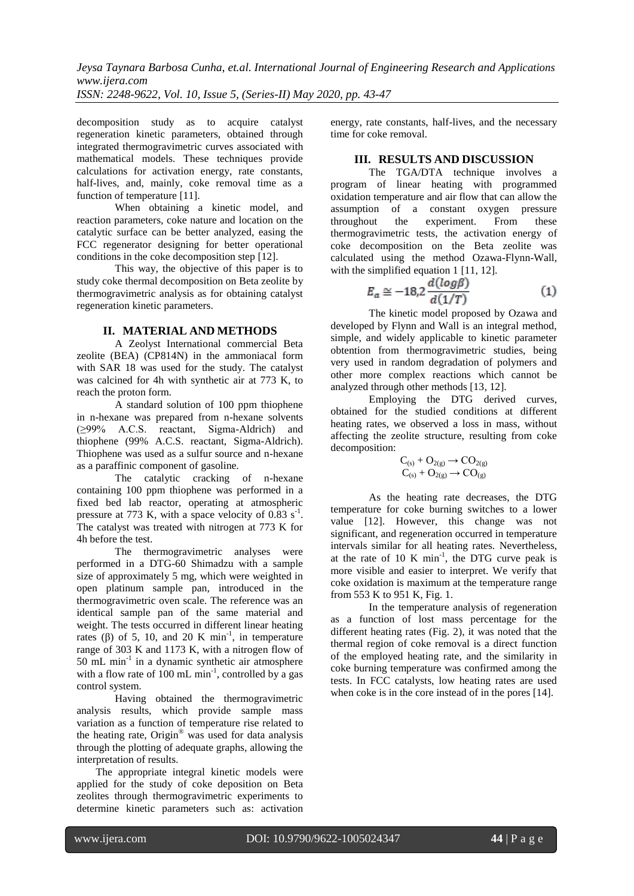*Jeysa Taynara Barbosa Cunha, et.al. International Journal of Engineering Research and Applications www.ijera.com ISSN: 2248-9622, Vol. 10, Issue 5, (Series-II) May 2020, pp. 43-47*

decomposition study as to acquire catalyst regeneration kinetic parameters, obtained through integrated thermogravimetric curves associated with mathematical models. These techniques provide calculations for activation energy, rate constants, half-lives, and, mainly, coke removal time as a function of temperature [11].

When obtaining a kinetic model, and reaction parameters, coke nature and location on the catalytic surface can be better analyzed, easing the FCC regenerator designing for better operational conditions in the coke decomposition step [12].

This way, the objective of this paper is to study coke thermal decomposition on Beta zeolite by thermogravimetric analysis as for obtaining catalyst regeneration kinetic parameters.

#### **II. MATERIAL AND METHODS**

A Zeolyst International commercial Beta zeolite (BEA) (CP814N) in the ammoniacal form with SAR 18 was used for the study. The catalyst was calcined for 4h with synthetic air at 773 K, to reach the proton form.

A standard solution of 100 ppm thiophene in n-hexane was prepared from n-hexane solvents (≥99% A.C.S. reactant, Sigma-Aldrich) and thiophene (99% A.C.S. reactant, Sigma-Aldrich). Thiophene was used as a sulfur source and n-hexane as a paraffinic component of gasoline.

The catalytic cracking of n-hexane containing 100 ppm thiophene was performed in a fixed bed lab reactor, operating at atmospheric pressure at 773 K, with a space velocity of  $0.83 \text{ s}^{-1}$ . The catalyst was treated with nitrogen at 773 K for 4h before the test.

The thermogravimetric analyses were performed in a DTG-60 Shimadzu with a sample size of approximately 5 mg, which were weighted in open platinum sample pan, introduced in the thermogravimetric oven scale. The reference was an identical sample pan of the same material and weight. The tests occurred in different linear heating rates ( $\beta$ ) of 5, 10, and 20 K min<sup>-1</sup>, in temperature range of 303 K and 1173 K, with a nitrogen flow of 50 mL min-1 in a dynamic synthetic air atmosphere with a flow rate of  $100 \text{ mL min}^{-1}$ , controlled by a gas control system.

Having obtained the thermogravimetric analysis results, which provide sample mass variation as a function of temperature rise related to the heating rate, Origin® was used for data analysis through the plotting of adequate graphs, allowing the interpretation of results.

The appropriate integral kinetic models were applied for the study of coke deposition on Beta zeolites through thermogravimetric experiments to determine kinetic parameters such as: activation

energy, rate constants, half-lives, and the necessary time for coke removal.

#### **III. RESULTS AND DISCUSSION**

The TGA/DTA technique involves a program of linear heating with programmed oxidation temperature and air flow that can allow the assumption of a constant oxygen pressure throughout the experiment. From these thermogravimetric tests, the activation energy of coke decomposition on the Beta zeolite was calculated using the method Ozawa-Flynn-Wall, with the simplified equation 1 [11, 12].

$$
E_a \cong -18.2 \frac{d(log \beta)}{d(1/T)}
$$
 (1)

The kinetic model proposed by Ozawa and developed by Flynn and Wall is an integral method, simple, and widely applicable to kinetic parameter obtention from thermogravimetric studies, being very used in random degradation of polymers and other more complex reactions which cannot be analyzed through other methods [13, 12].

Employing the DTG derived curves, obtained for the studied conditions at different heating rates, we observed a loss in mass, without affecting the zeolite structure, resulting from coke decomposition:

$$
\begin{array}{c}C_{(s)}+O_{2(g)}\longrightarrow CO_{2(g)}\\C_{(s)}+O_{2(g)}\longrightarrow CO_{(g)}\end{array}
$$

As the heating rate decreases, the DTG temperature for coke burning switches to a lower value [12]. However, this change was not significant, and regeneration occurred in temperature intervals similar for all heating rates. Nevertheless, at the rate of  $10 K min<sup>-1</sup>$ , the DTG curve peak is more visible and easier to interpret. We verify that coke oxidation is maximum at the temperature range from 553 K to 951 K, Fig. 1.

In the temperature analysis of regeneration as a function of lost mass percentage for the different heating rates (Fig. 2), it was noted that the thermal region of coke removal is a direct function of the employed heating rate, and the similarity in coke burning temperature was confirmed among the tests. In FCC catalysts, low heating rates are used when coke is in the core instead of in the pores [14].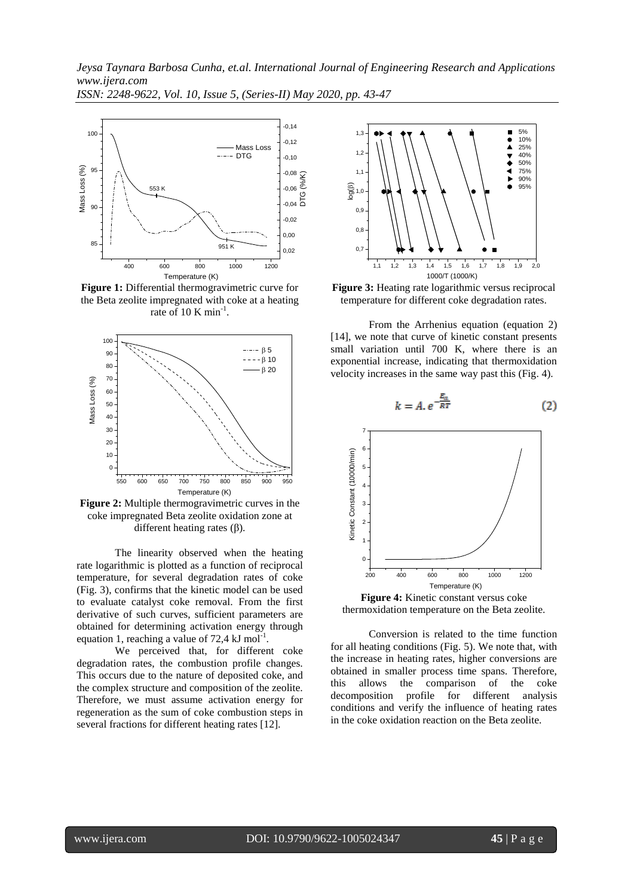*Jeysa Taynara Barbosa Cunha, et.al. International Journal of Engineering Research and Applications www.ijera.com*

*ISSN: 2248-9622, Vol. 10, Issue 5, (Series-II) May 2020, pp. 43-47*



**Figure 1:** Differential thermogravimetric curve for the Beta zeolite impregnated with coke at a heating rate of 10 K  $min^{-1}$ .



**Figure 2:** Multiple thermogravimetric curves in the coke impregnated Beta zeolite oxidation zone at different heating rates  $(β)$ .

The linearity observed when the heating rate logarithmic is plotted as a function of reciprocal temperature, for several degradation rates of coke (Fig. 3), confirms that the kinetic model can be used to evaluate catalyst coke removal. From the first derivative of such curves, sufficient parameters are obtained for determining activation energy through equation 1, reaching a value of 72,4  $kJ$  mol<sup>-1</sup>.

We perceived that, for different coke degradation rates, the combustion profile changes. This occurs due to the nature of deposited coke, and the complex structure and composition of the zeolite. Therefore, we must assume activation energy for regeneration as the sum of coke combustion steps in several fractions for different heating rates [12].



**Figure 3:** Heating rate logarithmic versus reciprocal temperature for different coke degradation rates.

 $\beta$  5 | small variation until 700 K, where there is an  $\beta$ <sup>10</sup> exponential increase, indicating that thermoxidation  $\beta$  20 velocity increases in the same way past this (Fig. 4). From the Arrhenius equation (equation 2) [14], we note that curve of kinetic constant presents



thermoxidation temperature on the Beta zeolite.

Conversion is related to the time function for all heating conditions (Fig. 5). We note that, with the increase in heating rates, higher conversions are obtained in smaller process time spans. Therefore, this allows the comparison of the coke decomposition profile for different analysis conditions and verify the influence of heating rates in the coke oxidation reaction on the Beta zeolite.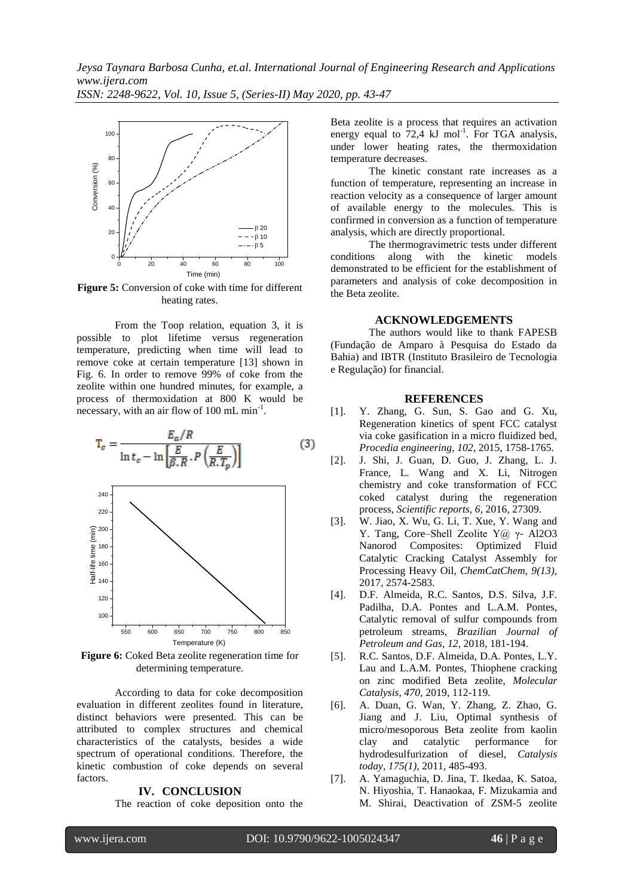*ISSN: 2248-9622, Vol. 10, Issue 5, (Series-II) May 2020, pp. 43-47*



**Figure 5:** Conversion of coke with time for different heating rates.

From the Toop relation, equation 3, it is possible to plot lifetime versus regeneration temperature, predicting when time will lead to remove coke at certain temperature [13] shown in Fig. 6. In order to remove 99% of coke from the zeolite within one hundred minutes, for example, a process of thermoxidation at 800 K would be necessary, with an air flow of 100 mL min<sup>-1</sup>.

$$
T_c = \frac{E_a/R}{\ln t_c - \ln \left[\frac{E}{\beta.R} \cdot P\left(\frac{E}{R.T_p}\right)\right]}
$$
(3)



**Figure 6:** Coked Beta zeolite regeneration time for determining temperature.

According to data for coke decomposition evaluation in different zeolites found in literature, distinct behaviors were presented. This can be attributed to complex structures and chemical characteristics of the catalysts, besides a wide spectrum of operational conditions. Therefore, the kinetic combustion of coke depends on several factors.

#### **IV. CONCLUSION**

The reaction of coke deposition onto the

Beta zeolite is a process that requires an activation energy equal to 72,4  $kJ$  mol<sup>-1</sup>. For TGA analysis, under lower heating rates, the thermoxidation temperature decreases.

The kinetic constant rate increases as a function of temperature, representing an increase in reaction velocity as a consequence of larger amount of available energy to the molecules. This is confirmed in conversion as a function of temperature analysis, which are directly proportional.

The thermogravimetric tests under different conditions along with the kinetic models demonstrated to be efficient for the establishment of parameters and analysis of coke decomposition in the Beta zeolite.

#### **ACKNOWLEDGEMENTS**

The authors would like to thank FAPESB (Fundação de Amparo à Pesquisa do Estado da Bahia) and IBTR (Instituto Brasileiro de Tecnologia e Regulação) for financial.

#### **REFERENCES**

- [1]. Y. Zhang, G. Sun, S. Gao and G. Xu, Regeneration kinetics of spent FCC catalyst via coke gasification in a micro fluidized bed, *Procedia engineering, 102,* 2015, 1758-1765.
- [2]. J. Shi, J. Guan, D. Guo, J. Zhang, L. J. France, L. Wang and X. Li, Nitrogen chemistry and coke transformation of FCC coked catalyst during the regeneration process, *Scientific reports, 6,* 2016, 27309.
- [3]. W. Jiao, X. Wu, G. Li, T. Xue, Y. Wang and Y. Tang, Core–Shell Zeolite Y@ γ‐ Al2O3 Nanorod Composites: Optimized Fluid Catalytic Cracking Catalyst Assembly for Processing Heavy Oil, *ChemCatChem, 9(13),* 2017, 2574-2583.
- [4]. D.F. Almeida, R.C. Santos, D.S. Silva, J.F. Padilha, D.A. Pontes and L.A.M. Pontes, Catalytic removal of sulfur compounds from petroleum streams, *Brazilian Journal of Petroleum and Gas, 12,* 2018, 181-194.
- [5]. R.C. Santos, D.F. Almeida, D.A. Pontes, L.Y. Lau and L.A.M. Pontes, Thiophene cracking on zinc modified Beta zeolite, *Molecular Catalysis, 470,* 2019, 112-119.
- [6]. A. Duan, G. Wan, Y. Zhang, Z. Zhao, G. Jiang and J. Liu, Optimal synthesis of micro/mesoporous Beta zeolite from kaolin clay and catalytic performance for hydrodesulfurization of diesel, *Catalysis today, 175(1)*, 2011, 485-493.
- [7]. A. Yamaguchia, D. Jina, T. Ikedaa, K. Satoa, N. Hiyoshia, T. Hanaokaa, F. Mizukamia and M. Shirai, Deactivation of ZSM-5 zeolite